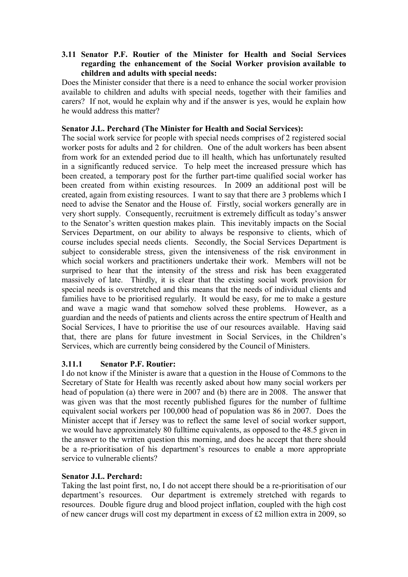## **3.11 Senator P.F. Routier of the Minister for Health and Social Services regarding the enhancement of the Social Worker provision available to children and adults with special needs:**

Does the Minister consider that there is a need to enhance the social worker provision available to children and adults with special needs, together with their families and carers? If not, would he explain why and if the answer is yes, would he explain how he would address this matter?

## **Senator J.L. Perchard (The Minister for Health and Social Services):**

The social work service for people with special needs comprises of 2 registered social worker posts for adults and 2 for children. One of the adult workers has been absent from work for an extended period due to ill health, which has unfortunately resulted in a significantly reduced service. To help meet the increased pressure which has been created, a temporary post for the further part-time qualified social worker has been created from within existing resources. In 2009 an additional post will be created, again from existing resources. I want to say that there are 3 problems which I need to advise the Senator and the House of. Firstly, social workers generally are in very short supply. Consequently, recruitment is extremely difficult as today's answer to the Senator's written question makes plain. This inevitably impacts on the Social Services Department, on our ability to always be responsive to clients, which of course includes special needs clients. Secondly, the Social Services Department is subject to considerable stress, given the intensiveness of the risk environment in which social workers and practitioners undertake their work. Members will not be surprised to hear that the intensity of the stress and risk has been exaggerated massively of late. Thirdly, it is clear that the existing social work provision for special needs is overstretched and this means that the needs of individual clients and families have to be prioritised regularly. It would be easy, for me to make a gesture and wave a magic wand that somehow solved these problems. However, as a guardian and the needs of patients and clients across the entire spectrum of Health and Social Services, I have to prioritise the use of our resources available. Having said that, there are plans for future investment in Social Services, in the Children's Services, which are currently being considered by the Council of Ministers.

# **3.11.1 Senator P.F. Routier:**

I do not know if the Minister is aware that a question in the House of Commons to the Secretary of State for Health was recently asked about how many social workers per head of population (a) there were in 2007 and (b) there are in 2008. The answer that was given was that the most recently published figures for the number of fulltime equivalent social workers per 100,000 head of population was 86 in 2007. Does the Minister accept that if Jersey was to reflect the same level of social worker support, we would have approximately 80 fulltime equivalents, as opposed to the 48.5 given in the answer to the written question this morning, and does he accept that there should be a re-prioritisation of his department's resources to enable a more appropriate service to vulnerable clients?

#### **Senator J.L. Perchard:**

Taking the last point first, no, I do not accept there should be a re-prioritisation of our department's resources. Our department is extremely stretched with regards to resources. Double figure drug and blood project inflation, coupled with the high cost of new cancer drugs will cost my department in excess of £2 million extra in 2009, so